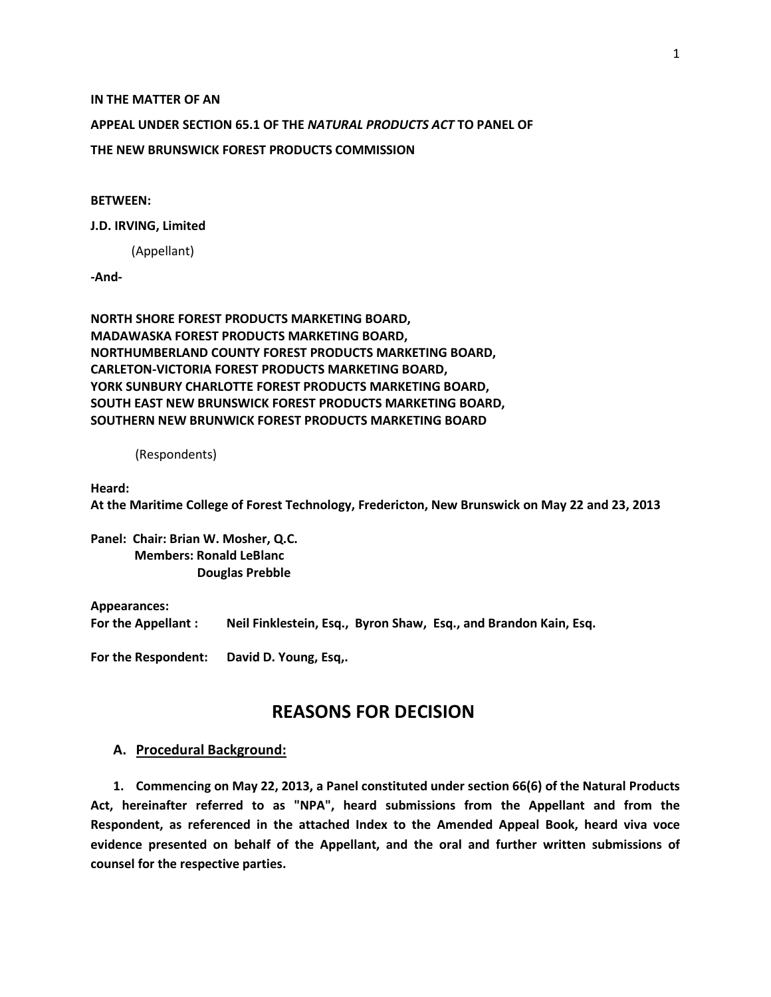#### **IN THE MATTER OF AN**

#### **APPEAL UNDER SECTION 65.1 OF THE** *NATURAL PRODUCTS ACT* **TO PANEL OF**

**THE NEW BRUNSWICK FOREST PRODUCTS COMMISSION**

#### **BETWEEN:**

#### **J.D. IRVING, Limited**

(Appellant)

**-And-**

**NORTH SHORE FOREST PRODUCTS MARKETING BOARD, MADAWASKA FOREST PRODUCTS MARKETING BOARD, NORTHUMBERLAND COUNTY FOREST PRODUCTS MARKETING BOARD, CARLETON-VICTORIA FOREST PRODUCTS MARKETING BOARD, YORK SUNBURY CHARLOTTE FOREST PRODUCTS MARKETING BOARD, SOUTH EAST NEW BRUNSWICK FOREST PRODUCTS MARKETING BOARD, SOUTHERN NEW BRUNWICK FOREST PRODUCTS MARKETING BOARD**

(Respondents)

**Heard:** 

**At the Maritime College of Forest Technology, Fredericton, New Brunswick on May 22 and 23, 2013**

**Panel: Chair: Brian W. Mosher, Q.C. Members: Ronald LeBlanc Douglas Prebble**

#### **Appearances:**

**For the Appellant : Neil Finklestein, Esq., Byron Shaw, Esq., and Brandon Kain, Esq.** 

**For the Respondent: David D. Young, Esq,.** 

# **REASONS FOR DECISION**

### **A. Procedural Background:**

**1. Commencing on May 22, 2013, a Panel constituted under section 66(6) of the Natural Products Act, hereinafter referred to as "NPA", heard submissions from the Appellant and from the Respondent, as referenced in the attached Index to the Amended Appeal Book, heard viva voce evidence presented on behalf of the Appellant, and the oral and further written submissions of counsel for the respective parties.**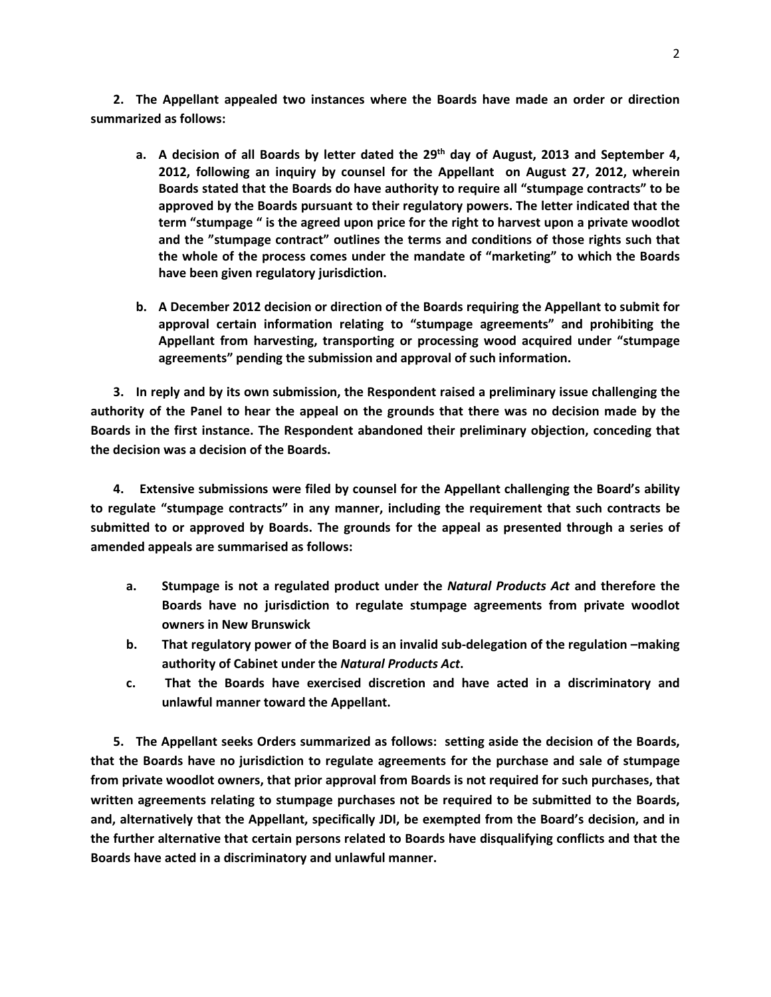**2. The Appellant appealed two instances where the Boards have made an order or direction summarized as follows:** 

- **a. A decision of all Boards by letter dated the 29th day of August, 2013 and September 4, 2012, following an inquiry by counsel for the Appellant on August 27, 2012, wherein Boards stated that the Boards do have authority to require all "stumpage contracts" to be approved by the Boards pursuant to their regulatory powers. The letter indicated that the term "stumpage " is the agreed upon price for the right to harvest upon a private woodlot and the "stumpage contract" outlines the terms and conditions of those rights such that the whole of the process comes under the mandate of "marketing" to which the Boards have been given regulatory jurisdiction.**
- **b. A December 2012 decision or direction of the Boards requiring the Appellant to submit for approval certain information relating to "stumpage agreements" and prohibiting the Appellant from harvesting, transporting or processing wood acquired under "stumpage agreements" pending the submission and approval of such information.**

**3. In reply and by its own submission, the Respondent raised a preliminary issue challenging the authority of the Panel to hear the appeal on the grounds that there was no decision made by the Boards in the first instance. The Respondent abandoned their preliminary objection, conceding that the decision was a decision of the Boards.**

**4. Extensive submissions were filed by counsel for the Appellant challenging the Board's ability to regulate "stumpage contracts" in any manner, including the requirement that such contracts be submitted to or approved by Boards. The grounds for the appeal as presented through a series of amended appeals are summarised as follows:**

- **a. Stumpage is not a regulated product under the** *Natural Products Act* **and therefore the Boards have no jurisdiction to regulate stumpage agreements from private woodlot owners in New Brunswick**
- **b. That regulatory power of the Board is an invalid sub-delegation of the regulation –making authority of Cabinet under the** *Natural Products Act***.**
- **c. That the Boards have exercised discretion and have acted in a discriminatory and unlawful manner toward the Appellant.**

**5. The Appellant seeks Orders summarized as follows: setting aside the decision of the Boards, that the Boards have no jurisdiction to regulate agreements for the purchase and sale of stumpage from private woodlot owners, that prior approval from Boards is not required for such purchases, that written agreements relating to stumpage purchases not be required to be submitted to the Boards, and, alternatively that the Appellant, specifically JDI, be exempted from the Board's decision, and in the further alternative that certain persons related to Boards have disqualifying conflicts and that the Boards have acted in a discriminatory and unlawful manner.**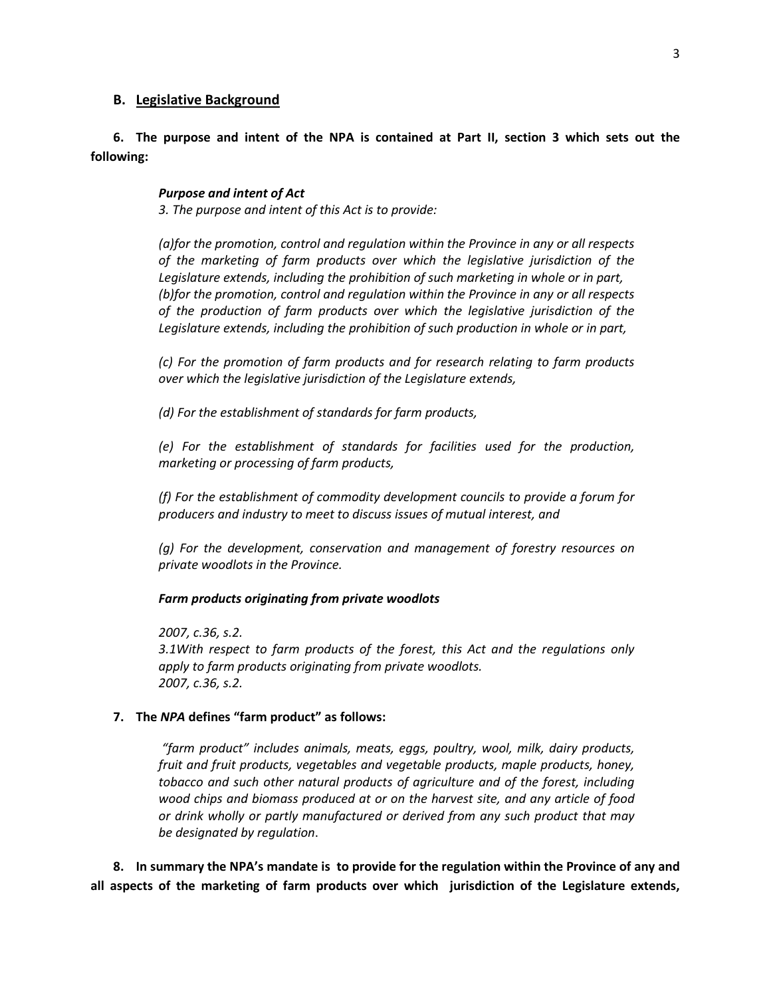## **B. Legislative Background**

# **6. The purpose and intent of the NPA is contained at Part II, section 3 which sets out the following:**

## *Purpose and intent of Act*

*3. The purpose and intent of this Act is to provide:*

*(a)for the promotion, control and regulation within the Province in any or all respects of the marketing of farm products over which the legislative jurisdiction of the Legislature extends, including the prohibition of such marketing in whole or in part, (b)for the promotion, control and regulation within the Province in any or all respects of the production of farm products over which the legislative jurisdiction of the Legislature extends, including the prohibition of such production in whole or in part,*

*(c) For the promotion of farm products and for research relating to farm products over which the legislative jurisdiction of the Legislature extends,*

*(d) For the establishment of standards for farm products,*

*(e) For the establishment of standards for facilities used for the production, marketing or processing of farm products,*

*(f) For the establishment of commodity development councils to provide a forum for producers and industry to meet to discuss issues of mutual interest, and*

*(g) For the development, conservation and management of forestry resources on private woodlots in the Province.*

*Farm products originating from private woodlots*

*2007, c.36, s.2.*

*3.1With respect to farm products of the forest, this Act and the regulations only apply to farm products originating from private woodlots. 2007, c.36, s.2.*

### **7. The** *NPA* **defines "farm product" as follows:**

*"farm product" includes animals, meats, eggs, poultry, wool, milk, dairy products, fruit and fruit products, vegetables and vegetable products, maple products, honey, tobacco and such other natural products of agriculture and of the forest, including wood chips and biomass produced at or on the harvest site, and any article of food or drink wholly or partly manufactured or derived from any such product that may be designated by regulation*.

**8. In summary the NPA's mandate is to provide for the regulation within the Province of any and all aspects of the marketing of farm products over which jurisdiction of the Legislature extends,**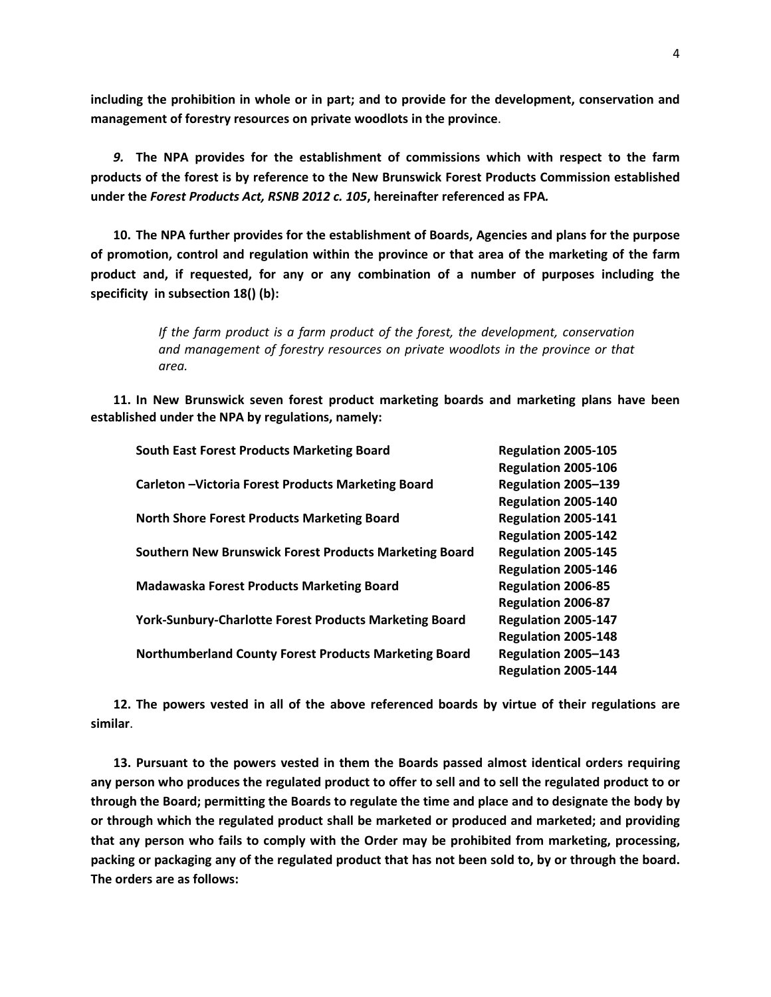**including the prohibition in whole or in part; and to provide for the development, conservation and management of forestry resources on private woodlots in the province**.

*9.* **The NPA provides for the establishment of commissions which with respect to the farm products of the forest is by reference to the New Brunswick Forest Products Commission established under the** *Forest Products Act, RSNB 2012 c. 105***, hereinafter referenced as FPA***.*

**10. The NPA further provides for the establishment of Boards, Agencies and plans for the purpose of promotion, control and regulation within the province or that area of the marketing of the farm product and, if requested, for any or any combination of a number of purposes including the specificity in subsection 18() (b):**

> *If the farm product is a farm product of the forest, the development, conservation and management of forestry resources on private woodlots in the province or that area.*

**11. In New Brunswick seven forest product marketing boards and marketing plans have been established under the NPA by regulations, namely:**

| <b>South East Forest Products Marketing Board</b>             | Regulation 2005-105       |
|---------------------------------------------------------------|---------------------------|
|                                                               | Regulation 2005-106       |
| Carleton - Victoria Forest Products Marketing Board           | Regulation 2005-139       |
|                                                               | Regulation 2005-140       |
| <b>North Shore Forest Products Marketing Board</b>            | Regulation 2005-141       |
|                                                               | Regulation 2005-142       |
| Southern New Brunswick Forest Products Marketing Board        | Regulation 2005-145       |
|                                                               | Regulation 2005-146       |
| <b>Madawaska Forest Products Marketing Board</b>              | <b>Regulation 2006-85</b> |
|                                                               | <b>Regulation 2006-87</b> |
| <b>York-Sunbury-Charlotte Forest Products Marketing Board</b> | Regulation 2005-147       |
|                                                               | Regulation 2005-148       |
| <b>Northumberland County Forest Products Marketing Board</b>  | Regulation 2005-143       |
|                                                               | Regulation 2005-144       |

**12. The powers vested in all of the above referenced boards by virtue of their regulations are similar**.

**13. Pursuant to the powers vested in them the Boards passed almost identical orders requiring any person who produces the regulated product to offer to sell and to sell the regulated product to or through the Board; permitting the Boards to regulate the time and place and to designate the body by or through which the regulated product shall be marketed or produced and marketed; and providing that any person who fails to comply with the Order may be prohibited from marketing, processing, packing or packaging any of the regulated product that has not been sold to, by or through the board. The orders are as follows:**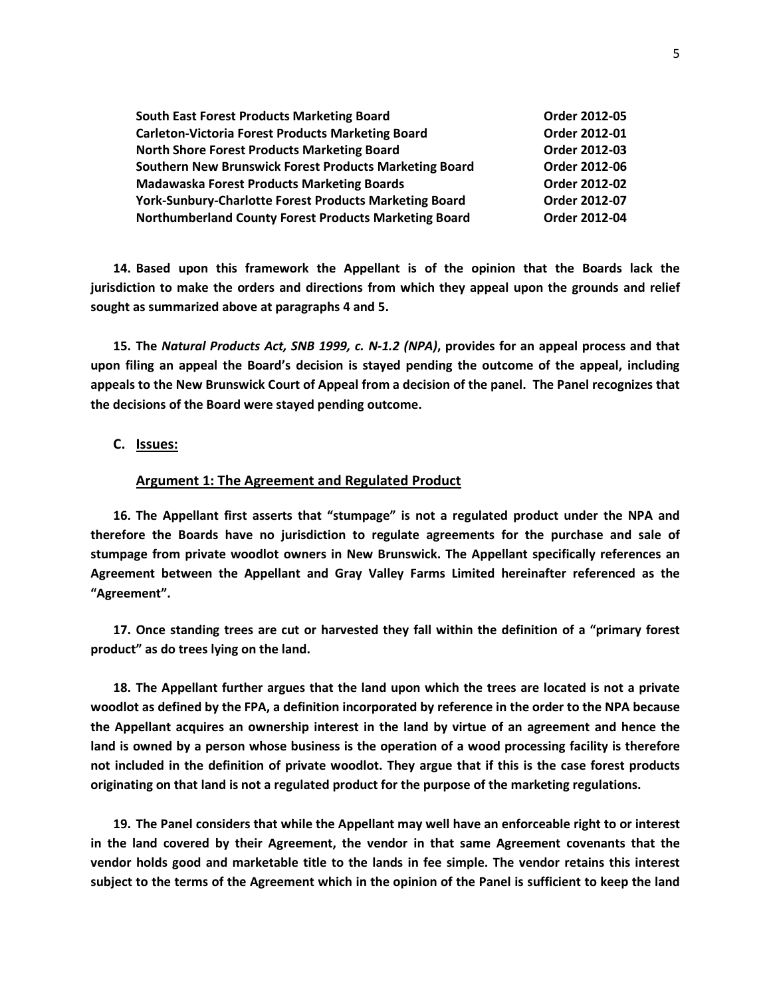| <b>South East Forest Products Marketing Board</b>             | Order 2012-05 |
|---------------------------------------------------------------|---------------|
| <b>Carleton-Victoria Forest Products Marketing Board</b>      | Order 2012-01 |
| North Shore Forest Products Marketing Board                   | Order 2012-03 |
| Southern New Brunswick Forest Products Marketing Board        | Order 2012-06 |
| <b>Madawaska Forest Products Marketing Boards</b>             | Order 2012-02 |
| <b>York-Sunbury-Charlotte Forest Products Marketing Board</b> | Order 2012-07 |
| <b>Northumberland County Forest Products Marketing Board</b>  | Order 2012-04 |

**14. Based upon this framework the Appellant is of the opinion that the Boards lack the jurisdiction to make the orders and directions from which they appeal upon the grounds and relief sought as summarized above at paragraphs 4 and 5.** 

**15. The** *Natural Products Act, SNB 1999, c. N-1.2 (NPA)***, provides for an appeal process and that upon filing an appeal the Board's decision is stayed pending the outcome of the appeal, including appeals to the New Brunswick Court of Appeal from a decision of the panel. The Panel recognizes that the decisions of the Board were stayed pending outcome.**

# **C. Issues:**

#### **Argument 1: The Agreement and Regulated Product**

**16. The Appellant first asserts that "stumpage" is not a regulated product under the NPA and therefore the Boards have no jurisdiction to regulate agreements for the purchase and sale of stumpage from private woodlot owners in New Brunswick. The Appellant specifically references an Agreement between the Appellant and Gray Valley Farms Limited hereinafter referenced as the "Agreement".** 

**17. Once standing trees are cut or harvested they fall within the definition of a "primary forest product" as do trees lying on the land.** 

**18. The Appellant further argues that the land upon which the trees are located is not a private woodlot as defined by the FPA, a definition incorporated by reference in the order to the NPA because the Appellant acquires an ownership interest in the land by virtue of an agreement and hence the land is owned by a person whose business is the operation of a wood processing facility is therefore not included in the definition of private woodlot. They argue that if this is the case forest products originating on that land is not a regulated product for the purpose of the marketing regulations.**

**19. The Panel considers that while the Appellant may well have an enforceable right to or interest in the land covered by their Agreement, the vendor in that same Agreement covenants that the vendor holds good and marketable title to the lands in fee simple. The vendor retains this interest subject to the terms of the Agreement which in the opinion of the Panel is sufficient to keep the land**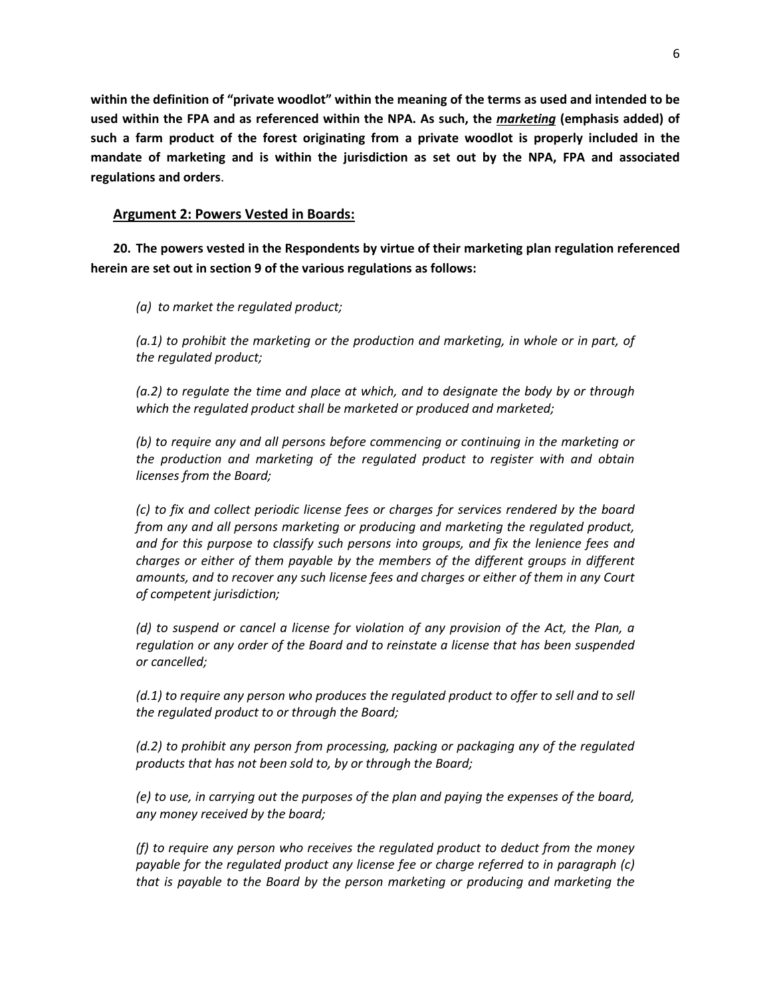**within the definition of "private woodlot" within the meaning of the terms as used and intended to be used within the FPA and as referenced within the NPA. As such, the** *marketing* **(emphasis added) of such a farm product of the forest originating from a private woodlot is properly included in the mandate of marketing and is within the jurisdiction as set out by the NPA, FPA and associated regulations and orders**.

# **Argument 2: Powers Vested in Boards:**

**20. The powers vested in the Respondents by virtue of their marketing plan regulation referenced herein are set out in section 9 of the various regulations as follows:** 

*(a) to market the regulated product;*

*(a.1) to prohibit the marketing or the production and marketing, in whole or in part, of the regulated product;*

*(a.2) to regulate the time and place at which, and to designate the body by or through which the regulated product shall be marketed or produced and marketed;*

*(b) to require any and all persons before commencing or continuing in the marketing or the production and marketing of the regulated product to register with and obtain licenses from the Board;*

*(c) to fix and collect periodic license fees or charges for services rendered by the board from any and all persons marketing or producing and marketing the regulated product, and for this purpose to classify such persons into groups, and fix the lenience fees and charges or either of them payable by the members of the different groups in different amounts, and to recover any such license fees and charges or either of them in any Court of competent jurisdiction;*

*(d) to suspend or cancel a license for violation of any provision of the Act, the Plan, a regulation or any order of the Board and to reinstate a license that has been suspended or cancelled;*

*(d.1) to require any person who produces the regulated product to offer to sell and to sell the regulated product to or through the Board;*

*(d.2) to prohibit any person from processing, packing or packaging any of the regulated products that has not been sold to, by or through the Board;*

*(e) to use, in carrying out the purposes of the plan and paying the expenses of the board, any money received by the board;*

*(f) to require any person who receives the regulated product to deduct from the money payable for the regulated product any license fee or charge referred to in paragraph (c) that is payable to the Board by the person marketing or producing and marketing the*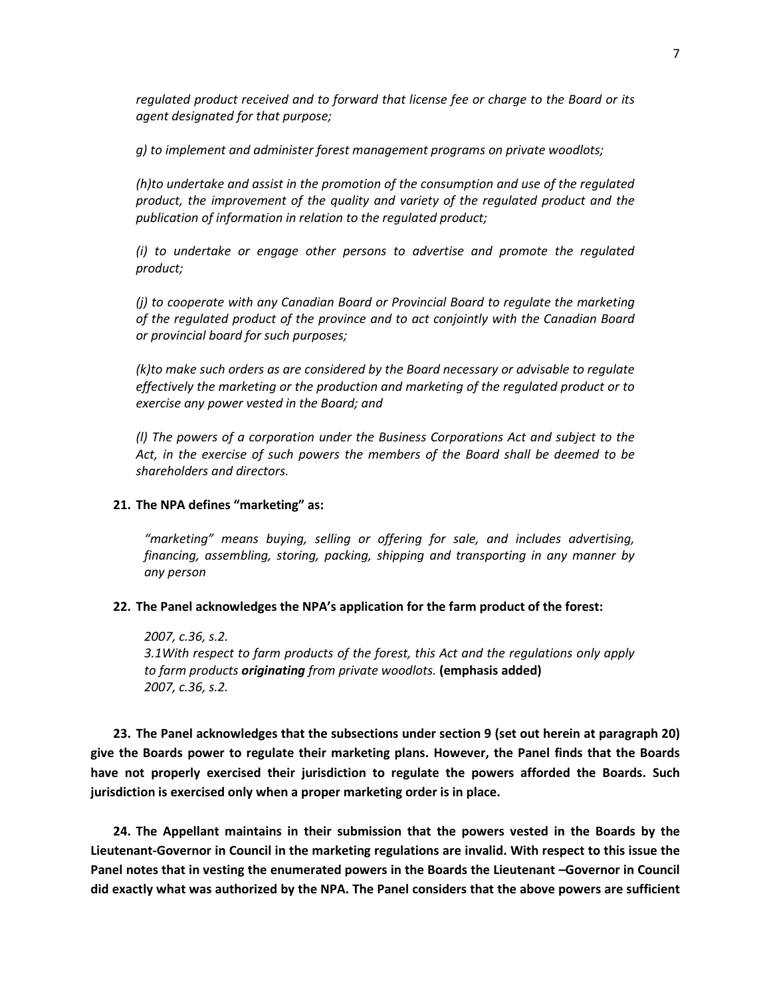*regulated product received and to forward that license fee or charge to the Board or its agent designated for that purpose;*

*g) to implement and administer forest management programs on private woodlots;*

*(h)to undertake and assist in the promotion of the consumption and use of the regulated product, the improvement of the quality and variety of the regulated product and the publication of information in relation to the regulated product;*

*(i) to undertake or engage other persons to advertise and promote the regulated product;*

*(j) to cooperate with any Canadian Board or Provincial Board to regulate the marketing of the regulated product of the province and to act conjointly with the Canadian Board or provincial board for such purposes;*

*(k)to make such orders as are considered by the Board necessary or advisable to regulate effectively the marketing or the production and marketing of the regulated product or to exercise any power vested in the Board; and*

*(l) The powers of a corporation under the Business Corporations Act and subject to the Act, in the exercise of such powers the members of the Board shall be deemed to be shareholders and directors.*

# **21. The NPA defines "marketing" as:**

*"marketing" means buying, selling or offering for sale, and includes advertising, financing, assembling, storing, packing, shipping and transporting in any manner by any person*

#### **22. The Panel acknowledges the NPA's application for the farm product of the forest:**

*2007, c.36, s.2. 3.1With respect to farm products of the forest, this Act and the regulations only apply to farm products originating from private woodlots.* **(emphasis added)** *2007, c.36, s.2.*

**23. The Panel acknowledges that the subsections under section 9 (set out herein at paragraph 20) give the Boards power to regulate their marketing plans. However, the Panel finds that the Boards have not properly exercised their jurisdiction to regulate the powers afforded the Boards. Such jurisdiction is exercised only when a proper marketing order is in place.**

**24. The Appellant maintains in their submission that the powers vested in the Boards by the Lieutenant-Governor in Council in the marketing regulations are invalid. With respect to this issue the Panel notes that in vesting the enumerated powers in the Boards the Lieutenant –Governor in Council did exactly what was authorized by the NPA. The Panel considers that the above powers are sufficient**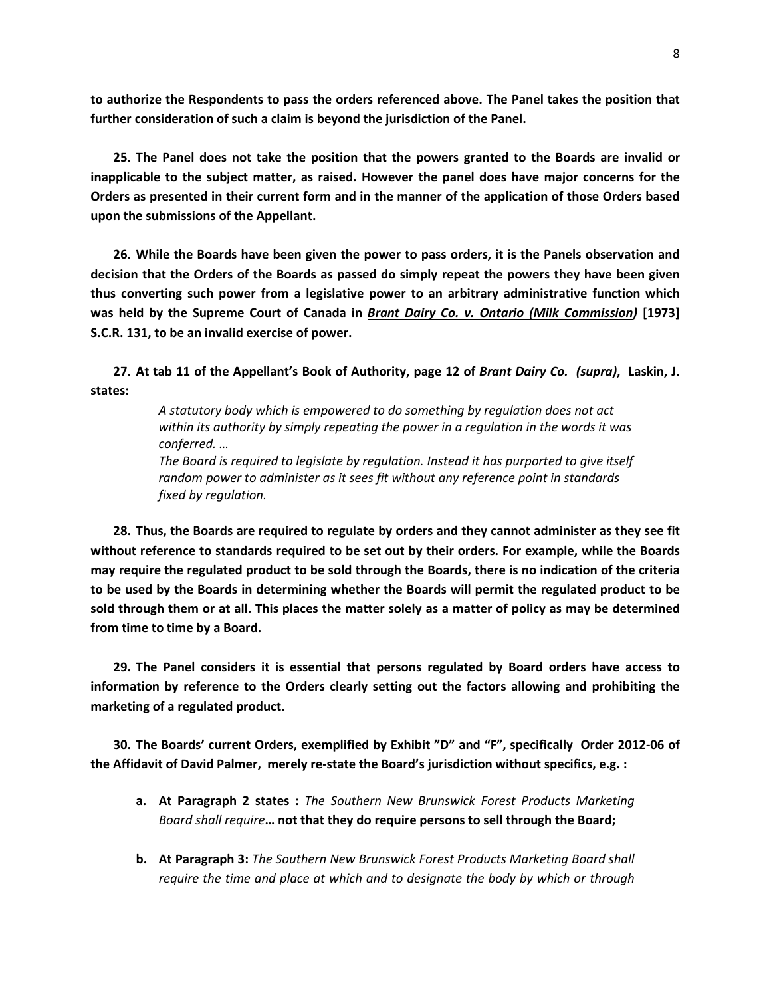**to authorize the Respondents to pass the orders referenced above. The Panel takes the position that further consideration of such a claim is beyond the jurisdiction of the Panel.**

**25. The Panel does not take the position that the powers granted to the Boards are invalid or inapplicable to the subject matter, as raised. However the panel does have major concerns for the Orders as presented in their current form and in the manner of the application of those Orders based upon the submissions of the Appellant.**

**26. While the Boards have been given the power to pass orders, it is the Panels observation and decision that the Orders of the Boards as passed do simply repeat the powers they have been given thus converting such power from a legislative power to an arbitrary administrative function which was held by the Supreme Court of Canada in** *Brant Dairy Co. v. Ontario (Milk Commission)* **[1973] S.C.R. 131, to be an invalid exercise of power.** 

**27. At tab 11 of the Appellant's Book of Authority, page 12 of** *Brant Dairy Co. (supra)***, Laskin, J. states:**

> *A statutory body which is empowered to do something by regulation does not act within its authority by simply repeating the power in a regulation in the words it was conferred. …*

> *The Board is required to legislate by regulation. Instead it has purported to give itself random power to administer as it sees fit without any reference point in standards fixed by regulation.*

**28. Thus, the Boards are required to regulate by orders and they cannot administer as they see fit without reference to standards required to be set out by their orders. For example, while the Boards may require the regulated product to be sold through the Boards, there is no indication of the criteria to be used by the Boards in determining whether the Boards will permit the regulated product to be sold through them or at all. This places the matter solely as a matter of policy as may be determined from time to time by a Board.**

**29. The Panel considers it is essential that persons regulated by Board orders have access to information by reference to the Orders clearly setting out the factors allowing and prohibiting the marketing of a regulated product.** 

**30. The Boards' current Orders, exemplified by Exhibit "D" and "F", specifically Order 2012-06 of the Affidavit of David Palmer, merely re-state the Board's jurisdiction without specifics, e.g. :**

- **a. At Paragraph 2 states :** *The Southern New Brunswick Forest Products Marketing Board shall require***… not that they do require persons to sell through the Board;**
- **b. At Paragraph 3:** *The Southern New Brunswick Forest Products Marketing Board shall require the time and place at which and to designate the body by which or through*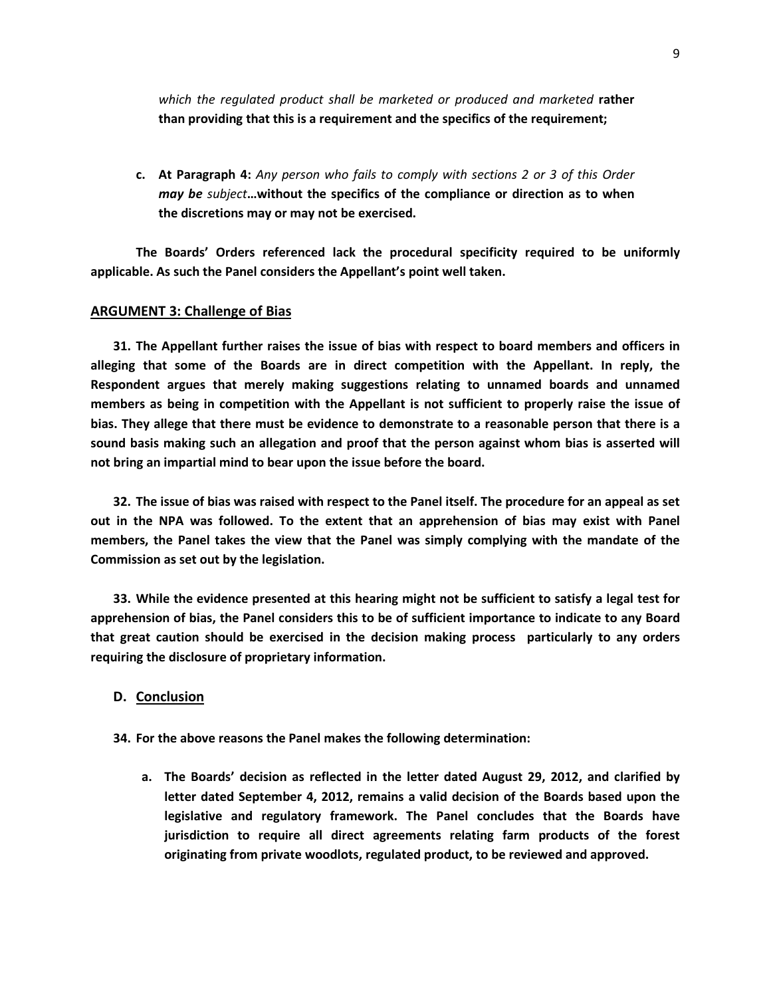*which the regulated product shall be marketed or produced and marketed* **rather than providing that this is a requirement and the specifics of the requirement;**

**c. At Paragraph 4:** *Any person who fails to comply with sections 2 or 3 of this Order may be subject***…without the specifics of the compliance or direction as to when the discretions may or may not be exercised.** 

**The Boards' Orders referenced lack the procedural specificity required to be uniformly applicable. As such the Panel considers the Appellant's point well taken.**

### **ARGUMENT 3: Challenge of Bias**

**31. The Appellant further raises the issue of bias with respect to board members and officers in alleging that some of the Boards are in direct competition with the Appellant. In reply, the Respondent argues that merely making suggestions relating to unnamed boards and unnamed members as being in competition with the Appellant is not sufficient to properly raise the issue of bias. They allege that there must be evidence to demonstrate to a reasonable person that there is a sound basis making such an allegation and proof that the person against whom bias is asserted will not bring an impartial mind to bear upon the issue before the board.** 

**32. The issue of bias was raised with respect to the Panel itself. The procedure for an appeal as set out in the NPA was followed. To the extent that an apprehension of bias may exist with Panel members, the Panel takes the view that the Panel was simply complying with the mandate of the Commission as set out by the legislation.** 

**33. While the evidence presented at this hearing might not be sufficient to satisfy a legal test for apprehension of bias, the Panel considers this to be of sufficient importance to indicate to any Board that great caution should be exercised in the decision making process particularly to any orders requiring the disclosure of proprietary information.**

#### **D. Conclusion**

**34. For the above reasons the Panel makes the following determination:**

**a. The Boards' decision as reflected in the letter dated August 29, 2012, and clarified by letter dated September 4, 2012, remains a valid decision of the Boards based upon the legislative and regulatory framework. The Panel concludes that the Boards have jurisdiction to require all direct agreements relating farm products of the forest originating from private woodlots, regulated product, to be reviewed and approved.**